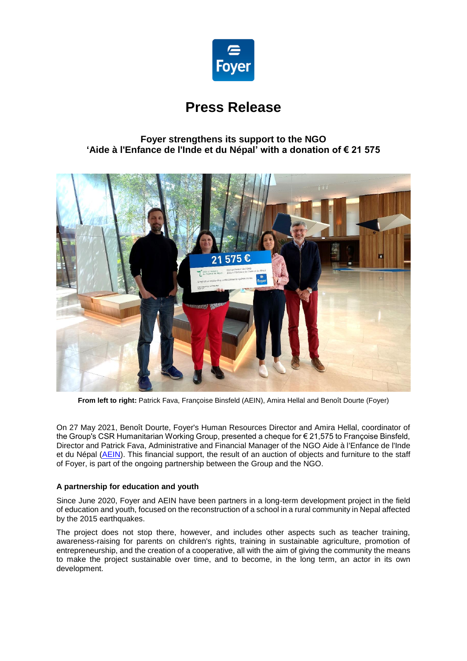

# **Press Release**

# **Foyer strengthens its support to the NGO 'Aide à l'Enfance de l'Inde et du Népal' with a donation of € 21 575**



**From left to right:** Patrick Fava, Françoise Binsfeld (AEIN), Amira Hellal and Benoît Dourte (Foyer)

On 27 May 2021, Benoît Dourte, Foyer's Human Resources Director and Amira Hellal, coordinator of the Group's CSR Humanitarian Working Group, presented a cheque for € 21,575 to Françoise Binsfeld, Director and Patrick Fava, Administrative and Financial Manager of the NGO Aide à l'Enfance de l'Inde et du Népal [\(AEIN\)](https://www.aein.lu/). This financial support, the result of an auction of objects and furniture to the staff of Foyer, is part of the ongoing partnership between the Group and the NGO.

## **A partnership for education and youth**

Since June 2020, Foyer and AEIN have been partners in a long-term development project in the field of education and youth, focused on the reconstruction of a school in a rural community in Nepal affected by the 2015 earthquakes.

The project does not stop there, however, and includes other aspects such as teacher training, awareness-raising for parents on children's rights, training in sustainable agriculture, promotion of entrepreneurship, and the creation of a cooperative, all with the aim of giving the community the means to make the project sustainable over time, and to become, in the long term, an actor in its own development.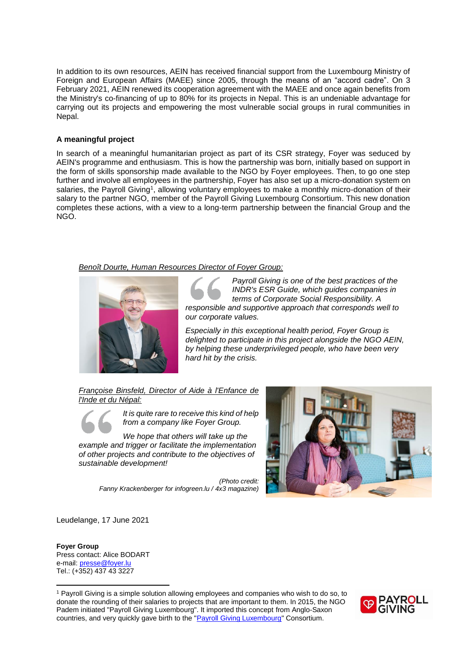In addition to its own resources, AEIN has received financial support from the Luxembourg Ministry of Foreign and European Affairs (MAEE) since 2005, through the means of an "accord cadre". On 3 February 2021, AEIN renewed its cooperation agreement with the MAEE and once again benefits from the Ministry's co-financing of up to 80% for its projects in Nepal. This is an undeniable advantage for carrying out its projects and empowering the most vulnerable social groups in rural communities in Nepal.

### **A meaningful project**

In search of a meaningful humanitarian project as part of its CSR strategy, Foyer was seduced by AEIN's programme and enthusiasm. This is how the partnership was born, initially based on support in the form of skills sponsorship made available to the NGO by Foyer employees. Then, to go one step further and involve all employees in the partnership, Foyer has also set up a micro-donation system on salaries, the Payroll Giving<sup>1</sup>, allowing voluntary employees to make a monthly micro-donation of their salary to the partner NGO, member of the Payroll Giving Luxembourg Consortium. This new donation completes these actions, with a view to a long-term partnership between the financial Group and the NGO.

#### *Benoît Dourte, Human Resources Director of Foyer Group:*



*Payroll Giving is one of the best practices of the INDR's ESR Guide, which guides companies in terms of Corporate Social Responsibility. A responsible and supportive approach that corresponds well to our corporate values.*

*Especially in this exceptional health period, Foyer Group is delighted to participate in this project alongside the NGO AEIN, by helping these underprivileged people, who have been very hard hit by the crisis.*

*Françoise Binsfeld, Director of Aide à l'Enfance de l'Inde et du Népal:*



*It is quite rare to receive this kind of help from a company like Foyer Group.*

*We hope that others will take up the example and trigger or facilitate the implementation of other projects and contribute to the objectives of sustainable development!*

> *(Photo credit: Fanny Krackenberger for [infogreen.lu](https://urldefense.com/v3/__http:/infogreen.lu__;!!ImnyJPo!545Tk6wp7qT5_8b55Ceaq8EhuX3_WF9VdC4jPT17F8HrMCPJOtqFSkV8kou1IfOuLj5N$) / 4x3 magazine)*



Leudelange, 17 June 2021

#### **Foyer Group** Press contact: Alice BODART e-mail[: presse@foyer.lu](mailto:presse@foyer.lu) Tel.: (+352) 437 43 3227

 $\overline{a}$ 

<sup>1</sup> Payroll Giving is a simple solution allowing employees and companies who wish to do so, to donate the rounding of their salaries to projects that are important to them. In 2015, the NGO Padem initiated "Payroll Giving Luxembourg". It imported this concept from Anglo-Saxon countries, and very quickly gave birth to the ["Payroll Giving Luxembourg"](http://payroll-giving.lu/) Consortium.